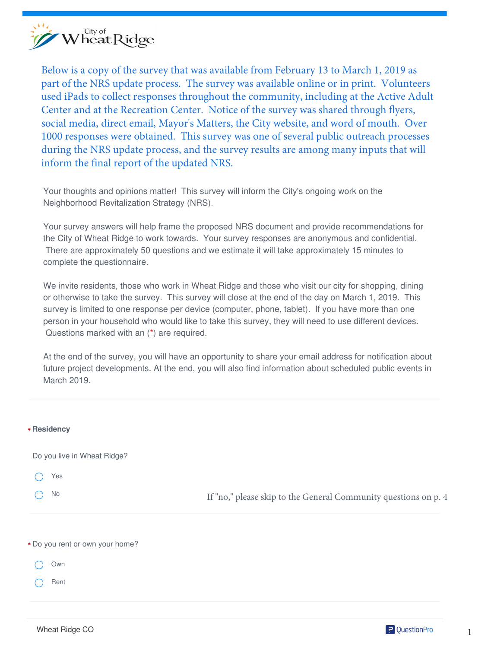

Below is a copy of the survey that was available from February 13 to March 1, 2019 as part of the NRS update process. The survey was available online or in print. Volunteers used iPads to collect responses throughout the community, including at the Active Adult Center and at the Recreation Center. Notice of the survey was shared through flyers, social media, direct email, Mayor's Matters, the City website, and word of mouth. Over 1000 responses were obtained. This survey was one of several public outreach processes during the NRS update process, and the survey results are among many inputs that will inform the final report of the updated NRS.

Your thoughts and opinions matter! This survey will inform the City's ongoing work on the Neighborhood Revitalization Strategy (NRS).

Your survey answers will help frame the proposed NRS document and provide recommendations for the City of Wheat Ridge to work towards. Your survey responses are anonymous and confidential. There are approximately 50 questions and we estimate it will take approximately 15 minutes to complete the questionnaire.

We invite residents, those who work in Wheat Ridge and those who visit our city for shopping, dining or otherwise to take the survey. This survey will close at the end of the day on March 1, 2019. This survey is limited to one response per device (computer, phone, tablet). If you have more than one person in your household who would like to take this survey, they will need to use different devices. Questions marked with an (\*) are required.

At the end of the survey, you will have an opportunity to share your email address for notification about future project developments. At the end, you will also find information about scheduled public events in March 2019.

| * Residency                     |                                                                 |
|---------------------------------|-----------------------------------------------------------------|
| Do you live in Wheat Ridge?     |                                                                 |
| Yes                             |                                                                 |
| No                              | If "no," please skip to the General Community questions on p. 4 |
|                                 |                                                                 |
| * Do you rent or own your home? |                                                                 |
| Own                             |                                                                 |
| Rent                            |                                                                 |

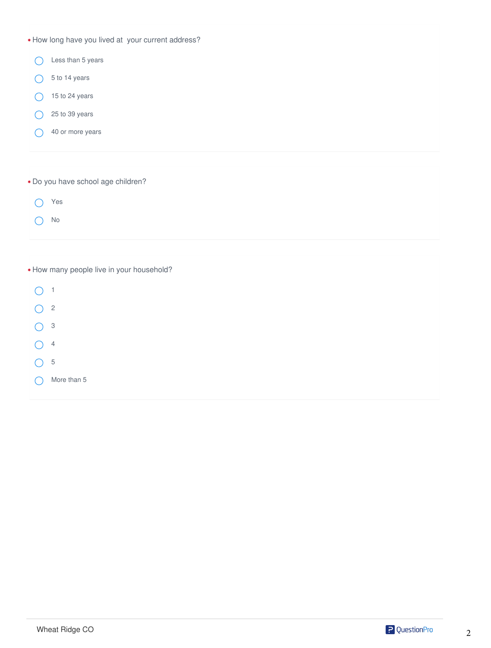| * How long have you lived at your current address? |
|----------------------------------------------------|
| Less than 5 years                                  |
| 5 to 14 years                                      |
| 15 to 24 years                                     |
| 25 to 39 years                                     |
| 40 or more years                                   |
|                                                    |
| * Do you have school age children?                 |
| Yes                                                |
| No                                                 |
|                                                    |
| * How many people live in your household?          |
| $\mathbf{1}$                                       |
| $\sqrt{2}$                                         |
| $\ensuremath{\mathsf{3}}$                          |
| $\overline{4}$                                     |
| 5                                                  |

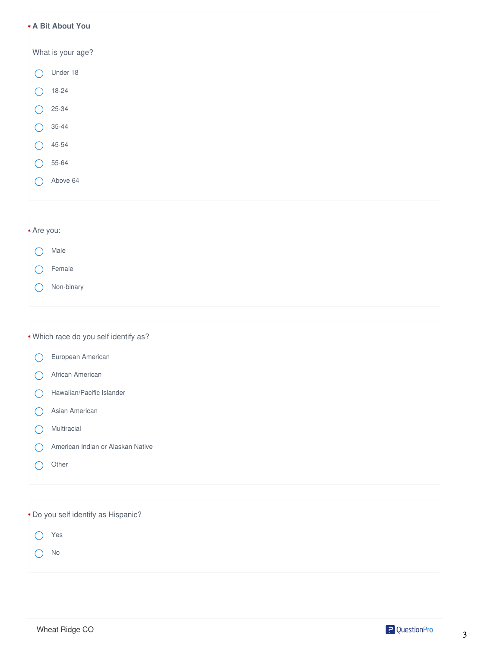#### **A Bit About You**  ✱

What is your age?

- Under 18  $\bigcap$ 18-24 25-34  $\bigcirc$ 35-44  $\bigcirc$
- 45-54  $\bigcirc$
- 55-64  $\bigcirc$
- Above 64  $\bigcirc$

# ✱ Are you:

- Male  $\bigcirc$
- Female  $\left(\begin{array}{c} \end{array}\right)$
- Non-binary  $\bigcirc$

# ✱ Which race do you self identify as?

- European American  $\bigcirc$
- African American  $\bigcirc$
- Hawaiian/Pacific Islander  $\bigcirc$
- Asian American  $\bigcirc$
- Multiracial  $\bigcirc$
- American Indian or Alaskan Native  $\bigcap$
- $\bigcirc$ **Other**
- ✱ Do you self identify as Hispanic?
	- Yes  $\bigcirc$
	- No  $\bigcirc$

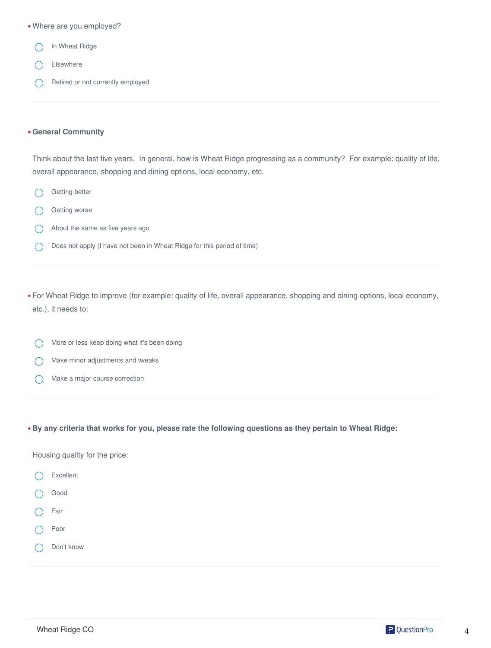| * Where are you employed?                                                                                                                                                                         |
|---------------------------------------------------------------------------------------------------------------------------------------------------------------------------------------------------|
| In Wheat Ridge                                                                                                                                                                                    |
| Elsewhere                                                                                                                                                                                         |
| Retired or not currently employed                                                                                                                                                                 |
| <b>* General Community</b>                                                                                                                                                                        |
| Think about the last five years. In general, how is Wheat Ridge progressing as a community? For example: quality of life,<br>overall appearance, shopping and dining options, local economy, etc. |
| Getting better                                                                                                                                                                                    |
| Getting worse                                                                                                                                                                                     |
| About the same as five years ago                                                                                                                                                                  |
| Does not apply (I have not been in Wheat Ridge for this period of time)                                                                                                                           |
| * For Wheat Ridge to improve (for example: quality of life, overall appearance, shopping and dining options, local economy,<br>etc.), it needs to:                                                |
| More or less keep doing what it's been doing                                                                                                                                                      |
| Make minor adjustments and tweaks                                                                                                                                                                 |
| Make a major course correction                                                                                                                                                                    |
| * By any criteria that works for you, please rate the following questions as they pertain to Wheat Ridge:                                                                                         |
| Housing quality for the price:                                                                                                                                                                    |
| Excellent                                                                                                                                                                                         |
| Good                                                                                                                                                                                              |
| Fair                                                                                                                                                                                              |

- O Poor
- $\bigcirc$ Don't know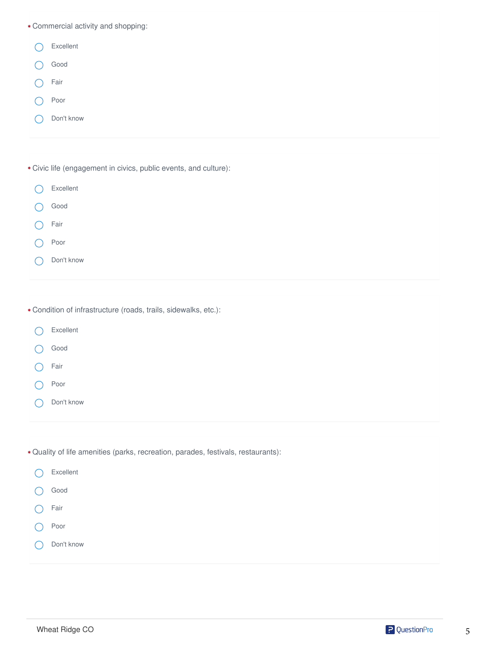✱ Commercial activity and shopping:

| Excellent                                                        |
|------------------------------------------------------------------|
| Good                                                             |
| Fair                                                             |
| Poor                                                             |
| Don't know                                                       |
|                                                                  |
| * Civic life (engagement in civics, public events, and culture): |
| Excellent                                                        |

- Good  $\bigcirc$
- Fair  $\bigcirc$
- Poor  $\bigcap$
- Don't know  $\bigcap$
- ✱ Condition of infrastructure (roads, trails, sidewalks, etc.):
- Excellent  $\bigcirc$ Good Fair  $\bigcirc$ Poor  $\bigcap$ Don't know  $\bigcap$
- ✱ Quality of life amenities (parks, recreation, parades, festivals, restaurants):

| $\left( \begin{array}{c} \end{array} \right)$ | Excellent  |
|-----------------------------------------------|------------|
|                                               | Good       |
| (                                             | Fair       |
| C                                             | Poor       |
| C                                             | Don't know |
|                                               |            |

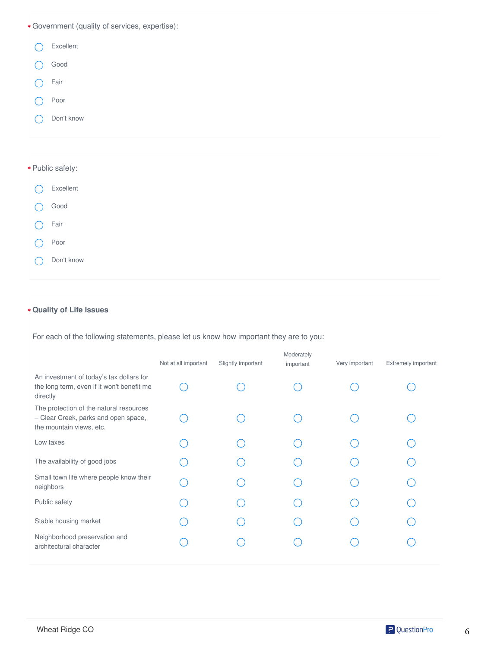

## **Quality of Life Issues**  ✱

For each of the following statements, please let us know how important they are to you:

|                                                                                                             | Not at all important | Slightly important | Moderately<br>important | Very important | Extremely important |
|-------------------------------------------------------------------------------------------------------------|----------------------|--------------------|-------------------------|----------------|---------------------|
| An investment of today's tax dollars for<br>the long term, even if it won't benefit me<br>directly          |                      |                    |                         |                |                     |
| The protection of the natural resources<br>- Clear Creek, parks and open space,<br>the mountain views, etc. |                      |                    |                         |                |                     |
| Low taxes                                                                                                   |                      |                    |                         |                |                     |
| The availability of good jobs                                                                               |                      |                    |                         |                |                     |
| Small town life where people know their<br>neighbors                                                        |                      |                    |                         |                |                     |
| Public safety                                                                                               |                      |                    |                         |                |                     |
| Stable housing market                                                                                       |                      |                    |                         |                |                     |
| Neighborhood preservation and<br>architectural character                                                    |                      |                    |                         |                |                     |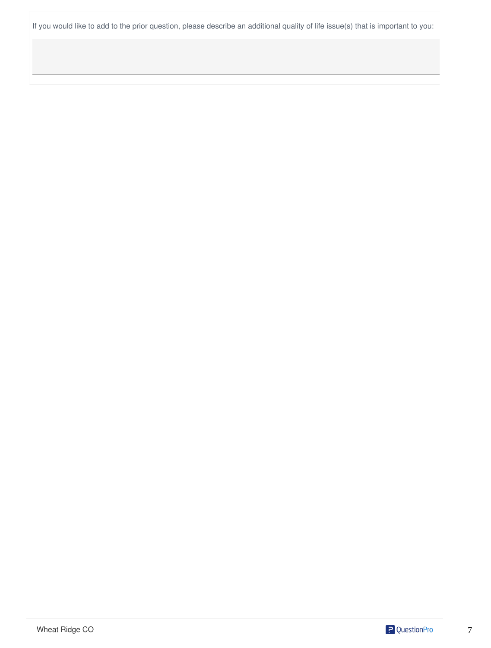If you would like to add to the prior question, please describe an additional quality of life issue(s) that is important to you:

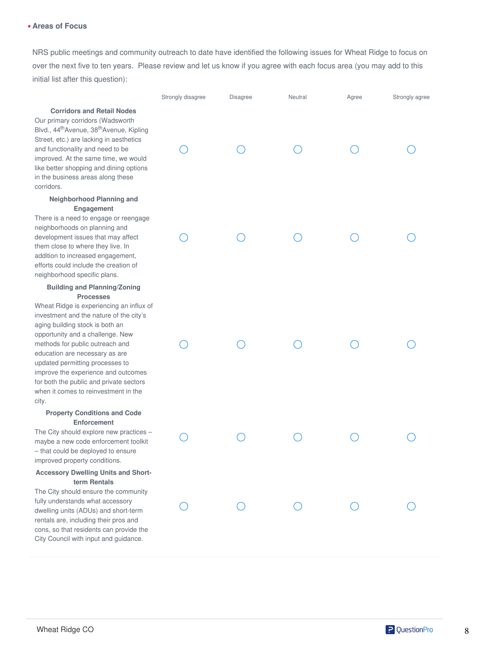### **Areas of Focus** ✱

NRS public meetings and community outreach to date have identified the following issues for Wheat Ridge to focus on over the next five to ten years. Please review and let us know if you agree with each focus area (you may add to this initial list after this question):

# **Corridors and Retail Nodes**

Our primary corridors (Wadsworth Blvd., 44<sup>th</sup>Avenue, 38<sup>th</sup>Avenue, Kipling Street, etc.) are lacking in aesthetics and functionality and need to be improved. At the same time, we would like better shopping and dining options in the business areas along these corridors.

#### **Neighborhood Planning and Engagement**

There is a need to engage or reengage neighborhoods on planning and development issues that may affect them close to where they live. In addition to increased engagement, efforts could include the creation of neighborhood specific plans.

#### **Building and Planning/Zoning Processes**

Wheat Ridge is experiencing an influx of investment and the nature of the city's aging building stock is both an opportunity and a challenge. New methods for public outreach and education are necessary as are updated permitting processes to improve the experience and outcomes for both the public and private sectors when it comes to reinvestment in the city.

## **Property Conditions and Code Enforcement**

The City should explore new practices – maybe a new code enforcement toolkit – that could be deployed to ensure improved property conditions.

#### **Accessory Dwelling Units and Shortterm Rentals**

The City should ensure the community fully understands what accessory dwelling units (ADUs) and short-term rentals are, including their pros and cons, so that residents can provide the City Council with input and guidance.

| Strongly disagree | Disagree | Neutral                                 | Agree | Strongly agree |
|-------------------|----------|-----------------------------------------|-------|----------------|
|                   |          |                                         |       |                |
|                   |          |                                         |       |                |
|                   |          |                                         |       |                |
|                   |          |                                         |       |                |
| $\bigcirc$        |          | $\begin{matrix} 0 & 0 & 0 \end{matrix}$ |       |                |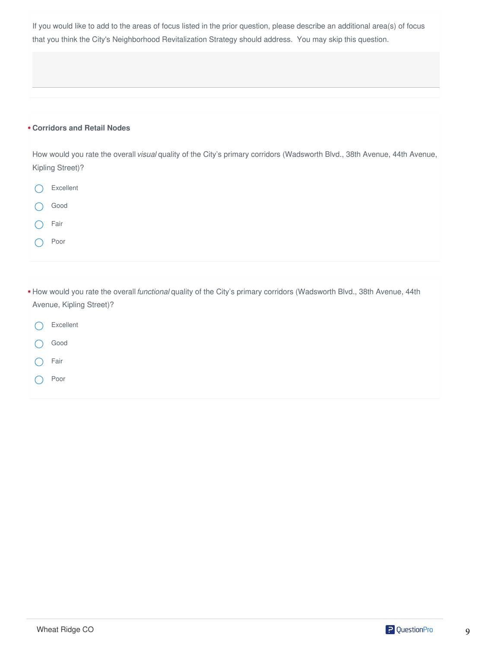If you would like to add to the areas of focus listed in the prior question, please describe an additional area(s) of focus that you think the City's Neighborhood Revitalization Strategy should address. You may skip this question.

# **Corridors and Retail Nodes** ✱

How would you rate the overall *visual* quality of the City's primary corridors (Wadsworth Blvd., 38th Avenue, 44th Avenue, Kipling Street)?

| Excellent        |
|------------------|
| ) Good           |
| () Fair          |
| (Contract ) Poor |
|                  |

| * How would you rate the overall <i>functional</i> quality of the City's primary corridors (Wadsworth Blvd., 38th Avenue, 44th |  |
|--------------------------------------------------------------------------------------------------------------------------------|--|
| Avenue, Kipling Street)?                                                                                                       |  |
|                                                                                                                                |  |

- Excellent  $\bigcirc$ Good  $\left( \begin{array}{c} \cdot \end{array} \right)$ Fair  $($ )
- Poor ◯

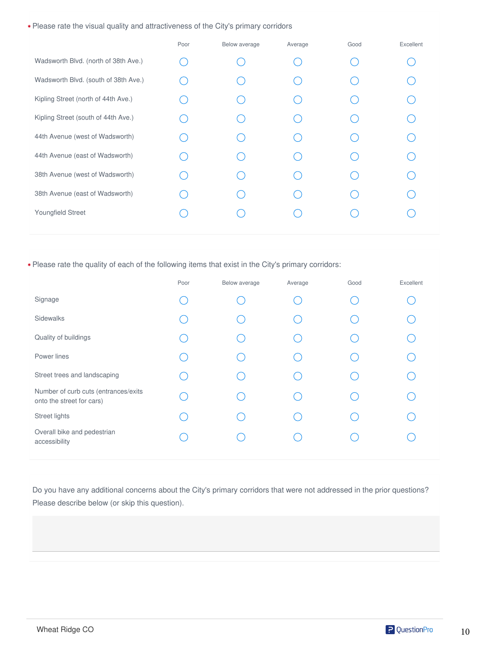✱ Please rate the visual quality and attractiveness of the City's primary corridors

|                                      | Poor | Below average | Average | Good | Excellent |
|--------------------------------------|------|---------------|---------|------|-----------|
| Wadsworth Blvd. (north of 38th Ave.) |      |               |         |      |           |
| Wadsworth Blvd. (south of 38th Ave.) |      |               |         |      |           |
| Kipling Street (north of 44th Ave.)  |      |               |         |      |           |
| Kipling Street (south of 44th Ave.)  |      |               |         |      |           |
| 44th Avenue (west of Wadsworth)      |      |               |         |      |           |
| 44th Avenue (east of Wadsworth)      |      |               |         |      |           |
| 38th Avenue (west of Wadsworth)      |      |               |         |      |           |
| 38th Avenue (east of Wadsworth)      |      |               |         |      |           |
| Youngfield Street                    |      |               |         |      |           |
|                                      |      |               |         |      |           |

✱ Please rate the quality of each of the following items that exist in the City's primary corridors:

Do you have any additional concerns about the City's primary corridors that were not addressed in the prior questions? Please describe below (or skip this question).

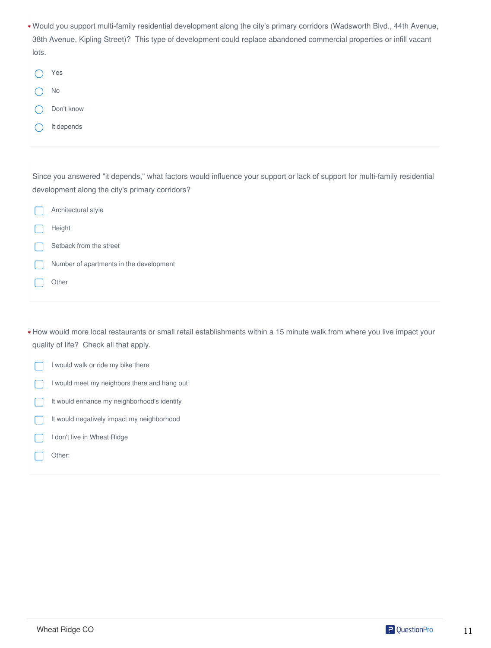| * Would you support multi-family residential development along the city's primary corridors (Wadsworth Blvd., 44th Avenue, |
|----------------------------------------------------------------------------------------------------------------------------|
| 38th Avenue, Kipling Street)? This type of development could replace abandoned commercial properties or infill vacant      |
| lots.                                                                                                                      |

| Yes        |
|------------|
| - No       |
| Don't know |
| It depends |

Since you answered "it depends," what factors would influence your support or lack of support for multi-family residential development along the city's primary corridors?

Architectural style  $\Box$ Height Setback from the street Number of apartments in the development  $\Box$ 

Other

How would more local restaurants or small retail establishments within a 15 minute walk from where you live impact your ✱ quality of life? Check all that apply.

I would walk or ride my bike there  $\Box$ 

- I would meet my neighbors there and hang out  $\Box$
- It would enhance my neighborhood's identity П
- It would negatively impact my neighborhood  $\Box$
- I don't live in Wheat Ridge  $\mathbf{L}$
- Other:

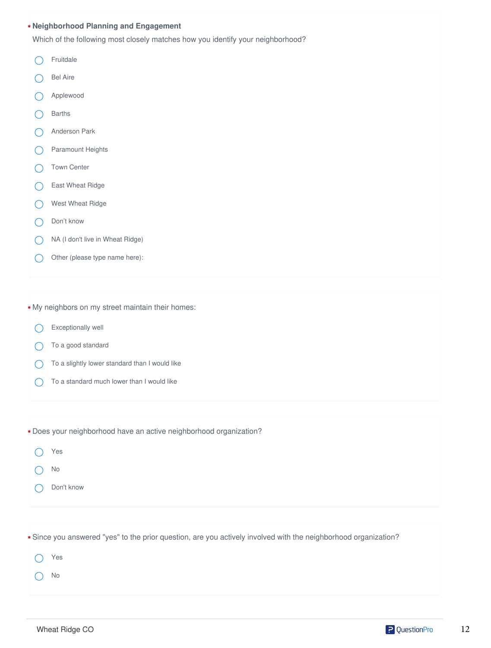## **Neighborhood Planning and Engagement**  ✱

Which of the following most closely matches how you identify your neighborhood?

- $\bigcap$ Fruitdale
- Bel Aire  $\bigcap$
- Applewood  $\bigcirc$
- Barths
- Anderson Park  $\bigcap$
- Paramount Heights  $\bigcap$
- Town Center  $\left( \right)$
- East Wheat Ridge  $\bigcap$
- West Wheat Ridge  $\curvearrowright$
- Don't know  $\bigcap$
- $\bigcap$ NA (I don't live in Wheat Ridge)
- Other (please type name here):  $\bigcap$

✱ My neighbors on my street maintain their homes:

- Exceptionally well
- To a good standard  $\bigcap$
- To a slightly lower standard than I would like  $\left(\begin{array}{c} \end{array}\right)$
- To a standard much lower than I would like  $\bigcap$

✱ Does your neighborhood have an active neighborhood organization?

| Yes        |
|------------|
| No.        |
| Don't know |

✱ Since you answered "yes" to the prior question, are you actively involved with the neighborhood organization?

Yes  $\bigcap$ No

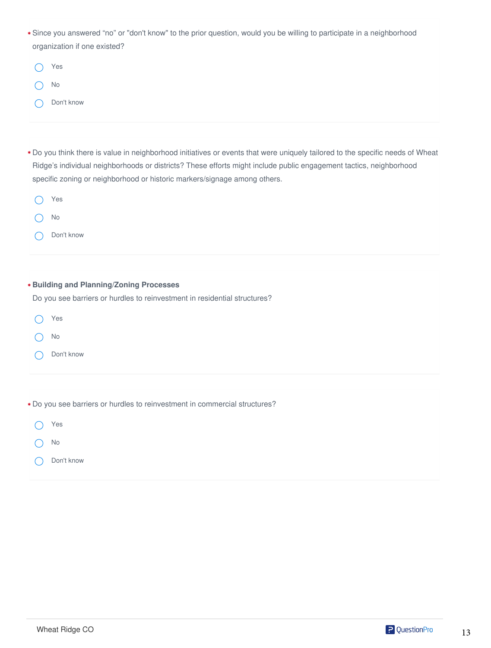Since you answered "no" or "don't know" to the prior question, would you be willing to participate in a neighborhood ✱ organization if one existed?

| Yes        |
|------------|
| - No       |
| Don't know |

Do you think there is value in neighborhood initiatives or events that were uniquely tailored to the specific needs of Wheat ✱ Ridge's individual neighborhoods or districts? These efforts might include public engagement tactics, neighborhood specific zoning or neighborhood or historic markers/signage among others.

| $\bigcirc$ Yes |              |
|----------------|--------------|
| $\bigcirc$ No  |              |
|                | ◯ Don't know |

| * Building and Planning/Zoning Processes                                   |  |  |  |  |  |
|----------------------------------------------------------------------------|--|--|--|--|--|
| Do you see barriers or hurdles to reinvestment in residential structures?  |  |  |  |  |  |
| Yes                                                                        |  |  |  |  |  |
| No                                                                         |  |  |  |  |  |
| Don't know                                                                 |  |  |  |  |  |
|                                                                            |  |  |  |  |  |
|                                                                            |  |  |  |  |  |
| * Do you see barriers or hurdles to reinvestment in commercial structures? |  |  |  |  |  |
| Yes                                                                        |  |  |  |  |  |
| No                                                                         |  |  |  |  |  |
| Don't know                                                                 |  |  |  |  |  |

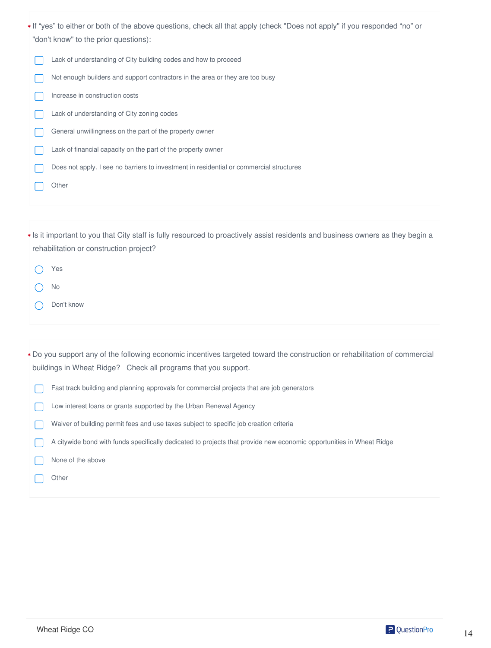- If "yes" to either or both of the above questions, check all that apply (check "Does not apply" if you responded "no" or ✱ "don't know" to the prior questions):
	- Lack of understanding of City building codes and how to proceed  $\Box$
	- Not enough builders and support contractors in the area or they are too busy
	- Increase in construction costs
	- Lack of understanding of City zoning codes
	- General unwillingness on the part of the property owner
	- Lack of financial capacity on the part of the property owner
	- Does not apply. I see no barriers to investment in residential or commercial structures
	- **Other**
- Is it important to you that City staff is fully resourced to proactively assist residents and business owners as they begin a ✱ rehabilitation or construction project?
	- Yes  $\left( \begin{array}{c} \end{array} \right)$ No
	- Don't know
- Do you support any of the following economic incentives targeted toward the construction or rehabilitation of commercial ✱ buildings in Wheat Ridge? Check all programs that you support.
	- Fast track building and planning approvals for commercial projects that are job generators  $\Box$
	- Low interest loans or grants supported by the Urban Renewal Agency
	- Waiver of building permit fees and use taxes subject to specific job creation criteria
	- A citywide bond with funds specifically dedicated to projects that provide new economic opportunities in Wheat Ridge
	- None of the above
		- **Other**

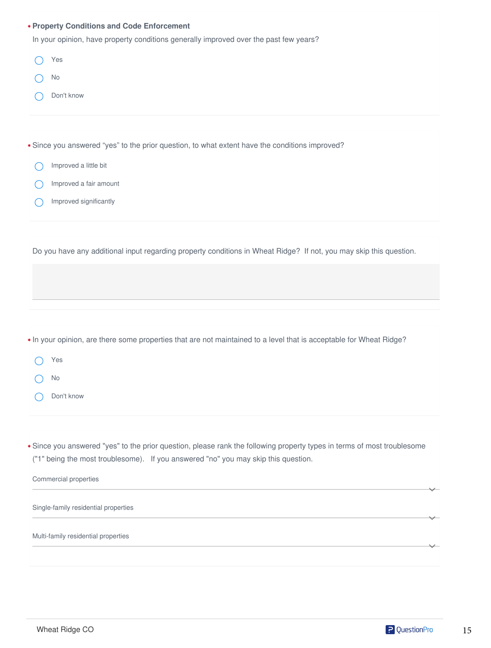| * Property Conditions and Code Enforcement                                                                                                                                                                    |  |  |
|---------------------------------------------------------------------------------------------------------------------------------------------------------------------------------------------------------------|--|--|
| In your opinion, have property conditions generally improved over the past few years?                                                                                                                         |  |  |
| Yes                                                                                                                                                                                                           |  |  |
| No                                                                                                                                                                                                            |  |  |
| Don't know                                                                                                                                                                                                    |  |  |
| * Since you answered "yes" to the prior question, to what extent have the conditions improved?                                                                                                                |  |  |
| Improved a little bit                                                                                                                                                                                         |  |  |
| Improved a fair amount                                                                                                                                                                                        |  |  |
| Improved significantly                                                                                                                                                                                        |  |  |
|                                                                                                                                                                                                               |  |  |
| Do you have any additional input regarding property conditions in Wheat Ridge? If not, you may skip this question.                                                                                            |  |  |
|                                                                                                                                                                                                               |  |  |
|                                                                                                                                                                                                               |  |  |
|                                                                                                                                                                                                               |  |  |
| * In your opinion, are there some properties that are not maintained to a level that is acceptable for Wheat Ridge?                                                                                           |  |  |
| Yes                                                                                                                                                                                                           |  |  |
| No                                                                                                                                                                                                            |  |  |
| Don't know                                                                                                                                                                                                    |  |  |
|                                                                                                                                                                                                               |  |  |
| * Since you answered "yes" to the prior question, please rank the following property types in terms of most troublesome<br>("1" being the most troublesome). If you answered "no" you may skip this question. |  |  |
| Commercial properties                                                                                                                                                                                         |  |  |
| Single-family residential properties                                                                                                                                                                          |  |  |
| Multi-family residential properties                                                                                                                                                                           |  |  |
|                                                                                                                                                                                                               |  |  |